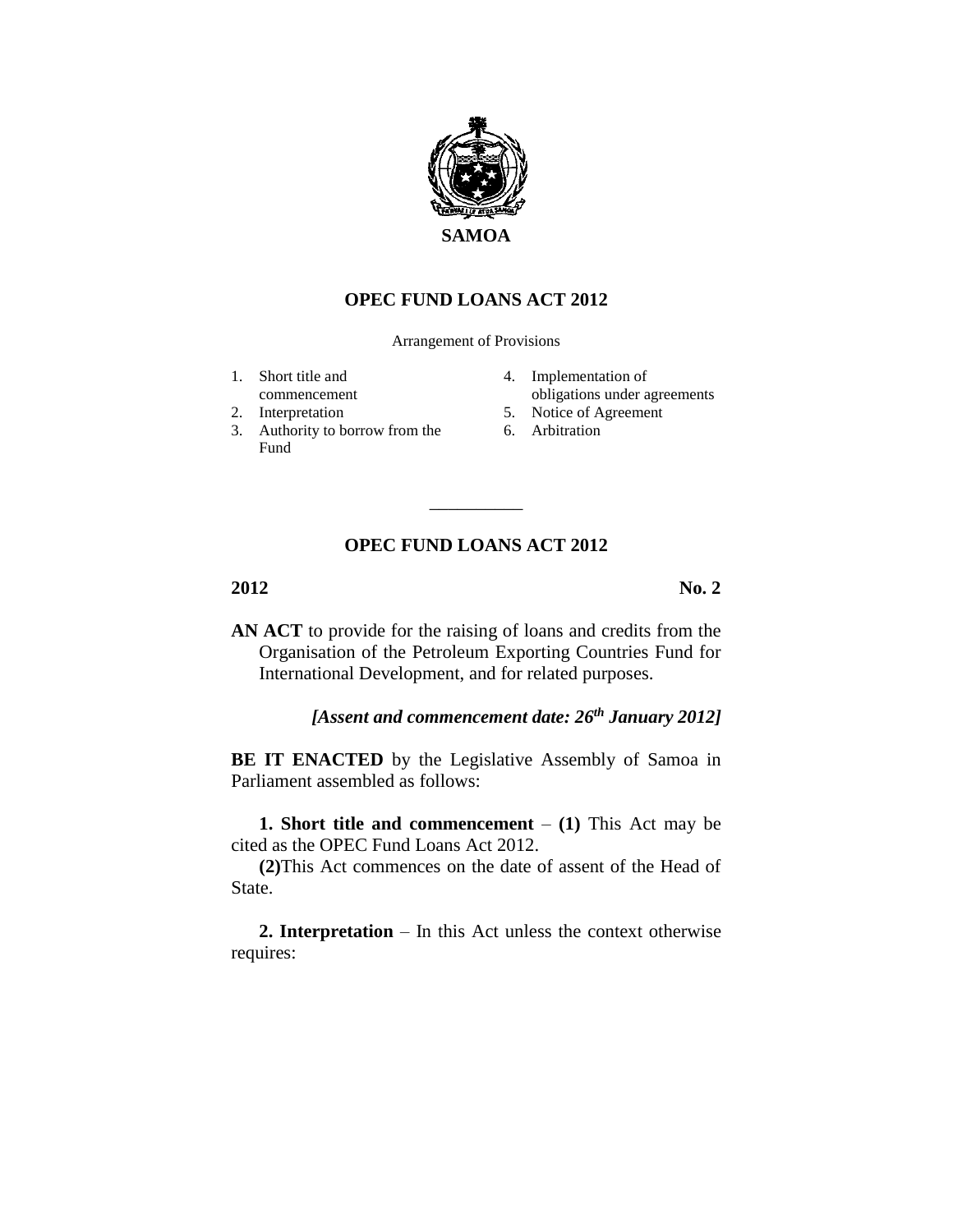

## **OPEC FUND LOANS ACT 2012**

Arrangement of Provisions

- 1. Short title and
- commencement
- 2. Interpretation
- 3. Authority to borrow from the Fund
- 4. Implementation of obligations under agreements
- 5. Notice of Agreement
- 6. Arbitration

## **OPEC FUND LOANS ACT 2012**

\_\_\_\_\_\_\_\_\_\_

**2012 No. 2**

**AN ACT** to provide for the raising of loans and credits from the Organisation of the Petroleum Exporting Countries Fund for International Development, and for related purposes.

*[Assent and commencement date: 26th January 2012]*

**BE IT ENACTED** by the Legislative Assembly of Samoa in Parliament assembled as follows:

**1. Short title and commencement**  $-$  (1) This Act may be cited as the OPEC Fund Loans Act 2012.

**(2)**This Act commences on the date of assent of the Head of State.

**2. Interpretation** – In this Act unless the context otherwise requires: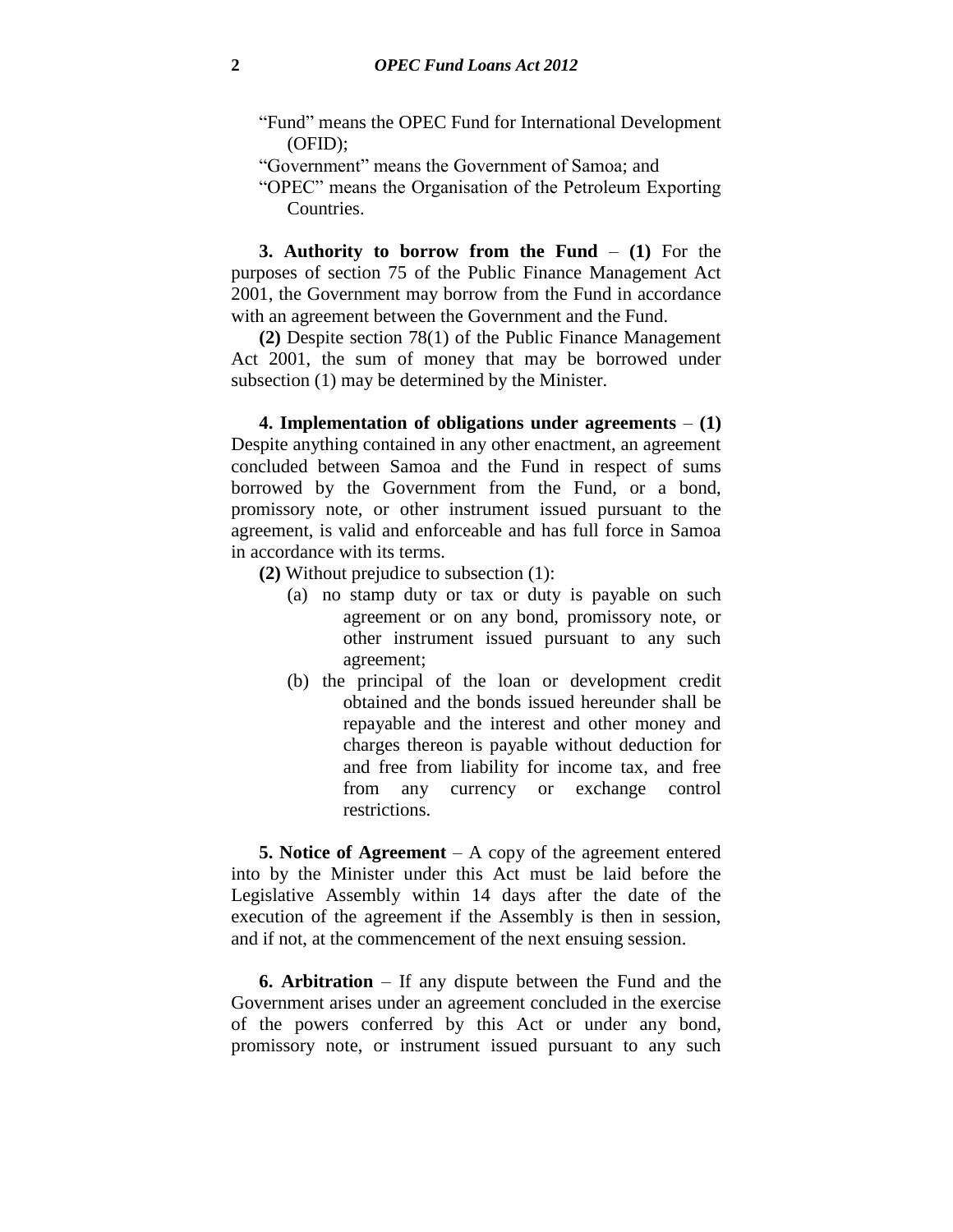- "Fund" means the OPEC Fund for International Development (OFID);
- "Government" means the Government of Samoa; and
- "OPEC" means the Organisation of the Petroleum Exporting Countries.

**3. Authority to borrow from the Fund** – **(1)** For the purposes of section 75 of the Public Finance Management Act 2001, the Government may borrow from the Fund in accordance with an agreement between the Government and the Fund.

**(2)** Despite section 78(1) of the Public Finance Management Act 2001, the sum of money that may be borrowed under subsection (1) may be determined by the Minister.

**4. Implementation of obligations under agreements** – **(1)** Despite anything contained in any other enactment, an agreement concluded between Samoa and the Fund in respect of sums borrowed by the Government from the Fund, or a bond, promissory note, or other instrument issued pursuant to the agreement, is valid and enforceable and has full force in Samoa in accordance with its terms.

- **(2)** Without prejudice to subsection (1):
	- (a) no stamp duty or tax or duty is payable on such agreement or on any bond, promissory note, or other instrument issued pursuant to any such agreement;
	- (b) the principal of the loan or development credit obtained and the bonds issued hereunder shall be repayable and the interest and other money and charges thereon is payable without deduction for and free from liability for income tax, and free from any currency or exchange control restrictions.

**5. Notice of Agreement** – A copy of the agreement entered into by the Minister under this Act must be laid before the Legislative Assembly within 14 days after the date of the execution of the agreement if the Assembly is then in session, and if not, at the commencement of the next ensuing session.

**6. Arbitration** – If any dispute between the Fund and the Government arises under an agreement concluded in the exercise of the powers conferred by this Act or under any bond, promissory note, or instrument issued pursuant to any such